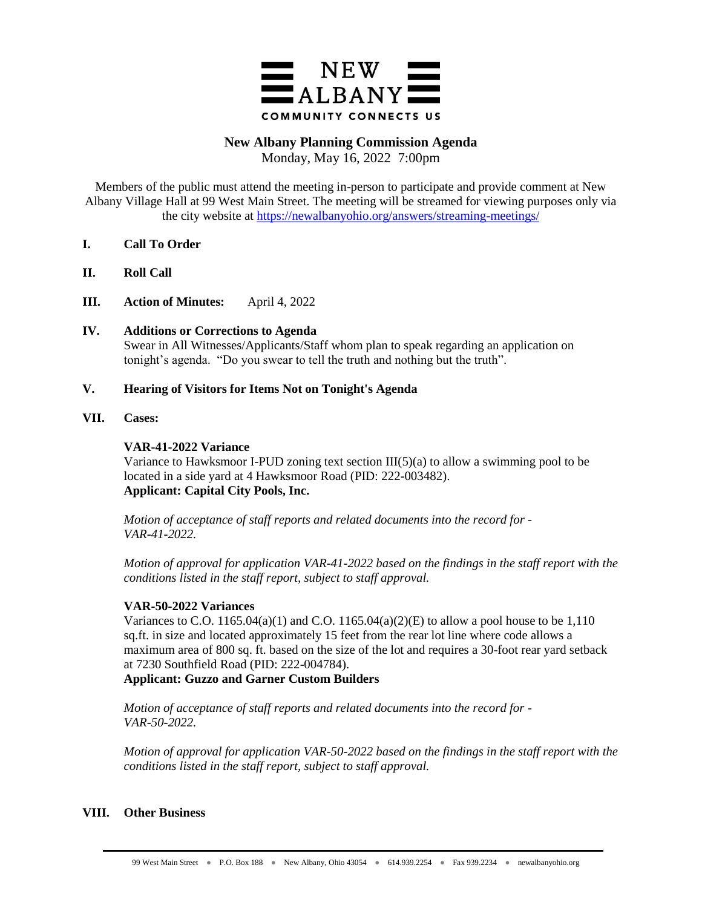

# **New Albany Planning Commission Agenda**

Monday, May 16, 2022 7:00pm

Members of the public must attend the meeting in-person to participate and provide comment at New Albany Village Hall at 99 West Main Street. The meeting will be streamed for viewing purposes only via the city website at<https://newalbanyohio.org/answers/streaming-meetings/>

- **I. Call To Order**
- **II. Roll Call**
- **III. Action of Minutes:** April 4, 2022
- **IV. Additions or Corrections to Agenda** Swear in All Witnesses/Applicants/Staff whom plan to speak regarding an application on tonight's agenda. "Do you swear to tell the truth and nothing but the truth".

# **V. Hearing of Visitors for Items Not on Tonight's Agenda**

**VII. Cases:**

# **VAR-41-2022 Variance**

Variance to Hawksmoor I-PUD zoning text section  $III(5)(a)$  to allow a swimming pool to be located in a side yard at 4 Hawksmoor Road (PID: 222-003482). **Applicant: Capital City Pools, Inc.**

*Motion of acceptance of staff reports and related documents into the record for - VAR-41-2022.*

*Motion of approval for application VAR-41-2022 based on the findings in the staff report with the conditions listed in the staff report, subject to staff approval.* 

# **VAR-50-2022 Variances**

Variances to C.O. 1165.04(a)(1) and C.O. 1165.04(a)(2)(E) to allow a pool house to be 1,110 sq.ft. in size and located approximately 15 feet from the rear lot line where code allows a maximum area of 800 sq. ft. based on the size of the lot and requires a 30-foot rear yard setback at 7230 Southfield Road (PID: 222-004784).

**Applicant: Guzzo and Garner Custom Builders** 

*Motion of acceptance of staff reports and related documents into the record for - VAR-50-2022.*

*Motion of approval for application VAR-50-2022 based on the findings in the staff report with the conditions listed in the staff report, subject to staff approval.* 

# **VIII. Other Business**